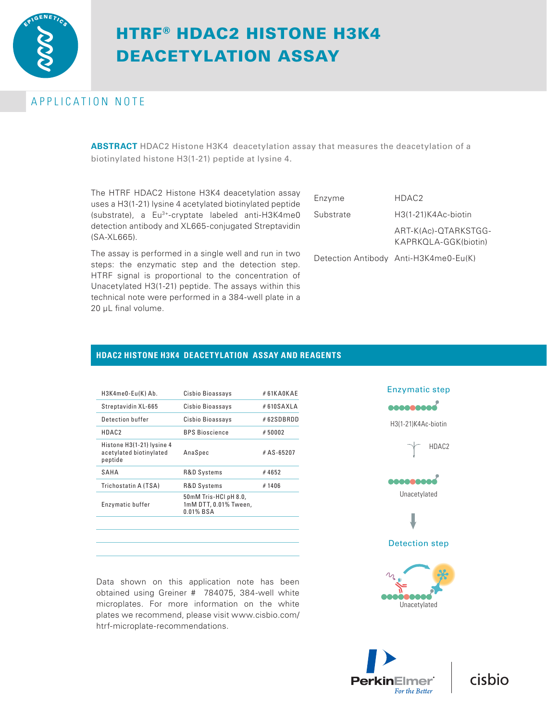

# HTRF® HDAC2 HISTONE H3K4 DEACETYLATION ASSAY

# APPLICATION NOTE

**ABSTRACT** HDAC2 Histone H3K4 deacetylation assay that measures the deacetylation of a biotinylated histone H3(1-21) peptide at lysine 4.

The HTRF HDAC2 Histone H3K4 deacetylation assay uses a H3(1-21) lysine 4 acetylated biotinylated peptide (substrate), a Eu3+-cryptate labeled anti-H3K4me0 detection antibody and XL665-conjugated Streptavidin (SA-XL665).

The assay is performed in a single well and run in two steps: the enzymatic step and the detection step. HTRF signal is proportional to the concentration of Unacetylated H3(1-21) peptide. The assays within this technical note were performed in a 384-well plate in a 20 μL final volume.

| Enzyme    | HDAC <sub>2</sub>                            |
|-----------|----------------------------------------------|
| Substrate | H3(1-21)K4Ac-biotin                          |
|           | ART-K(Ac)-QTARKSTGG-<br>KAPRKQLA-GGK(biotin) |
|           | Detection Antibody Anti-H3K4me0-Eu(K)        |

# **HDAC2 HISTONE H3K4 DEACETYLATION ASSAY AND REAGENTS**

| H3K4me0-Eu(K) Ab.                                               | Cisbio Bioassays                                            | #61KA0KAE     |
|-----------------------------------------------------------------|-------------------------------------------------------------|---------------|
| Streptavidin XL-665                                             | Cisbio Bioassays                                            | $#$ 610 SAXLA |
| Detection buffer                                                | Cisbio Bioassays                                            | #62SDBRDD     |
| HDAC <sub>2</sub>                                               | <b>BPS Bioscience</b>                                       | #50002        |
| Histone H3(1-21) lysine 4<br>acetylated biotinylated<br>peptide | AnaSpec                                                     | $#AS - 65207$ |
| SAHA                                                            | R&D Systems                                                 | #4652         |
| Trichostatin A (TSA)                                            | R&D Systems                                                 | #1406         |
| Enzymatic buffer                                                | 50mM Tris-HCl pH 8.0,<br>1mM DTT, 0.01% Tween,<br>0.01% BSA |               |
|                                                                 |                                                             |               |

Data shown on this application note has been obtained using Greiner # 784075, 384-well white microplates. For more information on the white plates we recommend, please visit www.cisbio.com/ htrf-microplate-recommendations.



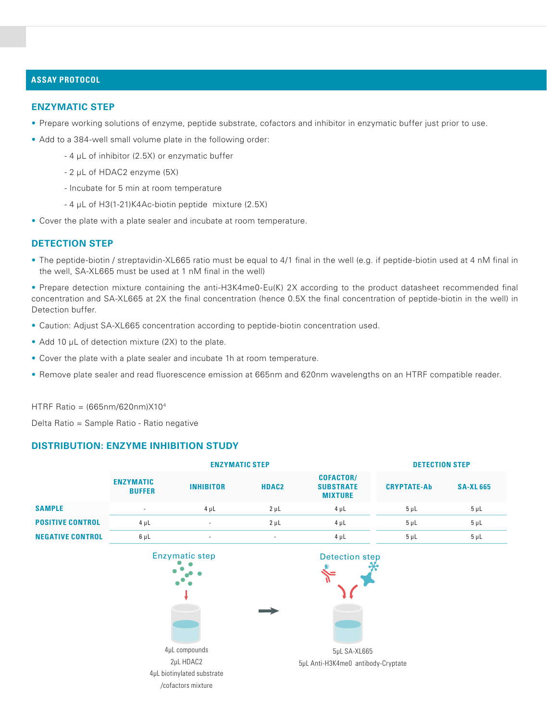# **ASSAY PROTOCOL**

#### **ENZYMATIC STEP**

- Prepare working solutions of enzyme, peptide substrate, cofactors and inhibitor in enzymatic buffer just prior to use.
- Add to a 384-well small volume plate in the following order:
	- 4 μL of inhibitor (2.5X) or enzymatic buffer
	- 2 μL of HDAC2 enzyme (5X)
	- Incubate for 5 min at room temperature
	- 4 μL of H3(1-21)K4Ac-biotin peptide mixture (2.5X)
- Cover the plate with a plate sealer and incubate at room temperature.

#### **DETECTION STEP**

• The peptide-biotin / streptavidin-XL665 ratio must be equal to 4/1 final in the well (e.g. if peptide-biotin used at 4 nM final in the well, SA-XL665 must be used at 1 nM final in the well)

• Prepare detection mixture containing the anti-H3K4me0-Eu(K) 2X according to the product datasheet recommended final concentration and SA-XL665 at 2X the final concentration (hence 0.5X the final concentration of peptide-biotin in the well) in Detection buffer.

- Caution: Adjust SA-XL665 concentration according to peptide-biotin concentration used.
- Add 10 μL of detection mixture (2X) to the plate.
- Cover the plate with a plate sealer and incubate 1h at room temperature.
- Remove plate sealer and read fluorescence emission at 665nm and 620nm wavelengths on an HTRF compatible reader.

HTRF Ratio = (665nm/620nm)X104

Delta Ratio = Sample Ratio - Ratio negative

# **DISTRIBUTION: ENZYME INHIBITION STUDY**

|                         |                                   | <b>ENZYMATIC STEP</b> | <b>DETECTION STEP</b>    |                                                        |                    |                 |
|-------------------------|-----------------------------------|-----------------------|--------------------------|--------------------------------------------------------|--------------------|-----------------|
|                         | <b>ENZYMATIC</b><br><b>BUFFER</b> | <b>INHIBITOR</b>      | HDAC2                    | <b>COFACTOR/</b><br><b>SUBSTRATE</b><br><b>MIXTURE</b> | <b>CRYPTATE-Ab</b> | <b>SA-XL665</b> |
| <b>SAMPLE</b>           | $\overline{\phantom{a}}$          | $4 \mu L$             | $2 \mu L$                | $4 \mu L$                                              | $5 \mu L$          | $5 \mu L$       |
| <b>POSITIVE CONTROL</b> | $4 \mu L$                         | ٠                     | $2 \mu L$                | $4 \mu L$                                              | $5 \mu L$          | $5 \mu L$       |
| <b>NEGATIVE CONTROL</b> | $6 \mu L$                         | ٠                     | $\overline{\phantom{a}}$ | $4 \mu L$                                              | $5 \mu L$          | $5 \mu L$       |
|                         | <b>Enzymatic step</b><br>.        |                       |                          | <b>Detection step</b>                                  |                    |                 |





5µL Anti-H3K4me0 antibody-Cryptate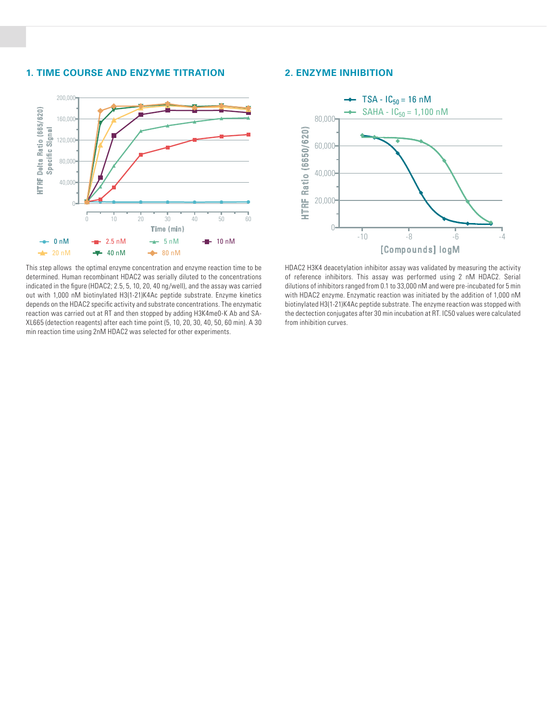### **1. TIME COURSE AND ENZYME TITRATION**



#### **2. ENZYME INHIBITION**



This step allows the optimal enzyme concentration and enzyme reaction time to be determined. Human recombinant HDAC2 was serially diluted to the concentrations indicated in the figure (HDAC2; 2.5, 5, 10, 20, 40 ng/well), and the assay was carried out with 1,000 nM biotinylated H3(1-21)K4Ac peptide substrate. Enzyme kinetics depends on the HDAC2 specific activity and substrate concentrations. The enzymatic reaction was carried out at RT and then stopped by adding H3K4me0-K Ab and SA-XL665 (detection reagents) after each time point (5, 10, 20, 30, 40, 50, 60 min). A 30 min reaction time using 2nM HDAC2 was selected for other experiments.

HDAC2 H3K4 deacetylation inhibitor assay was validated by measuring the activity of reference inhibitors. This assay was performed using 2 nM HDAC2. Serial dilutions of inhibitors ranged from 0.1 to 33,000 nM and were pre-incubated for 5 min with HDAC2 enzyme. Enzymatic reaction was initiated by the addition of 1,000 nM biotinylated H3(1-21)K4Ac peptide substrate. The enzyme reaction was stopped with the dectection conjugates after 30 min incubation at RT. IC50 values were calculated from inhibition curves.